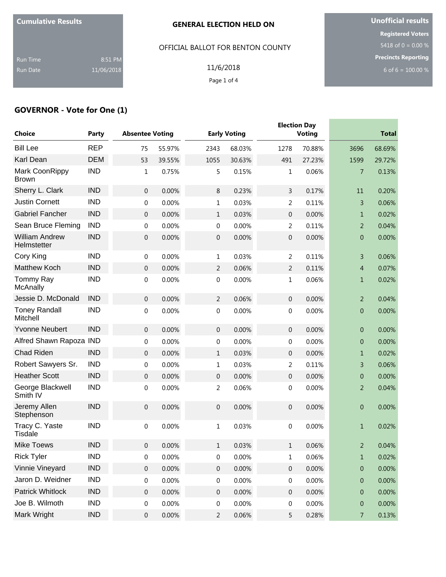|  |  |  | <b>Cumulative Results</b> |
|--|--|--|---------------------------|
|--|--|--|---------------------------|

OFFICIAL BALLOT FOR BENTON COUNTY

Run Time 8:51 PM Run Date 11/06/2018

11/6/2018 Page 1 of 4

**Unofficial results Registered Voters** 5418 of 0 = 0.00 % **Precincts Reporting** 6 of 6 =  $100.00 %$ 

# **GOVERNOR - Vote for One (1)**

| <b>Choice</b>                        | Party      | <b>Absentee Voting</b> |          |                  | <b>Early Voting</b> |                  | <b>Election Day</b><br><b>Voting</b> |                  | <b>Total</b> |
|--------------------------------------|------------|------------------------|----------|------------------|---------------------|------------------|--------------------------------------|------------------|--------------|
| <b>Bill Lee</b>                      | <b>REP</b> | 75                     | 55.97%   | 2343             | 68.03%              | 1278             | 70.88%                               | 3696             | 68.69%       |
| Karl Dean                            | <b>DEM</b> | 53                     | 39.55%   | 1055             | 30.63%              | 491              | 27.23%                               | 1599             | 29.72%       |
| Mark CoonRippy<br><b>Brown</b>       | <b>IND</b> | 1                      | 0.75%    | 5                | 0.15%               | $\mathbf{1}$     | 0.06%                                | 7                | 0.13%        |
| Sherry L. Clark                      | <b>IND</b> | $\boldsymbol{0}$       | 0.00%    | $\,8\,$          | 0.23%               | 3                | 0.17%                                | 11               | 0.20%        |
| <b>Justin Cornett</b>                | <b>IND</b> | 0                      | 0.00%    | $\mathbf{1}$     | 0.03%               | 2                | 0.11%                                | 3                | 0.06%        |
| <b>Gabriel Fancher</b>               | <b>IND</b> | 0                      | 0.00%    | $\mathbf{1}$     | 0.03%               | $\mathbf 0$      | 0.00%                                | $\mathbf{1}$     | 0.02%        |
| Sean Bruce Fleming                   | <b>IND</b> | 0                      | 0.00%    | 0                | 0.00%               | 2                | 0.11%                                | $\overline{2}$   | 0.04%        |
| <b>William Andrew</b><br>Helmstetter | <b>IND</b> | 0                      | 0.00%    | $\mathbf 0$      | 0.00%               | $\mathbf 0$      | 0.00%                                | $\mathbf{0}$     | 0.00%        |
| Cory King                            | <b>IND</b> | $\boldsymbol{0}$       | 0.00%    | $1\,$            | 0.03%               | $\overline{2}$   | 0.11%                                | 3                | 0.06%        |
| <b>Matthew Koch</b>                  | <b>IND</b> | $\boldsymbol{0}$       | 0.00%    | $\overline{2}$   | 0.06%               | $\overline{2}$   | 0.11%                                | $\overline{4}$   | 0.07%        |
| Tommy Ray<br>McAnally                | <b>IND</b> | 0                      | 0.00%    | $\boldsymbol{0}$ | 0.00%               | 1                | 0.06%                                | $\mathbf 1$      | 0.02%        |
| Jessie D. McDonald                   | <b>IND</b> | $\boldsymbol{0}$       | 0.00%    | $\overline{2}$   | 0.06%               | $\boldsymbol{0}$ | 0.00%                                | $\overline{2}$   | 0.04%        |
| <b>Toney Randall</b><br>Mitchell     | <b>IND</b> | 0                      | 0.00%    | $\mathbf 0$      | 0.00%               | 0                | 0.00%                                | $\mathbf{0}$     | 0.00%        |
| <b>Yvonne Neubert</b>                | <b>IND</b> | $\boldsymbol{0}$       | 0.00%    | $\boldsymbol{0}$ | 0.00%               | $\boldsymbol{0}$ | 0.00%                                | $\mathbf{0}$     | 0.00%        |
| Alfred Shawn Rapoza IND              |            | 0                      | 0.00%    | 0                | 0.00%               | 0                | 0.00%                                | $\theta$         | 0.00%        |
| <b>Chad Riden</b>                    | <b>IND</b> | 0                      | 0.00%    | $\mathbf{1}$     | 0.03%               | $\boldsymbol{0}$ | 0.00%                                | $\mathbf{1}$     | 0.02%        |
| Robert Sawyers Sr.                   | <b>IND</b> | 0                      | 0.00%    | $\mathbf{1}$     | 0.03%               | 2                | 0.11%                                | 3                | 0.06%        |
| <b>Heather Scott</b>                 | <b>IND</b> | 0                      | 0.00%    | $\mathbf 0$      | 0.00%               | $\mathbf 0$      | 0.00%                                | $\theta$         | 0.00%        |
| George Blackwell<br>Smith IV         | <b>IND</b> | 0                      | 0.00%    | 2                | 0.06%               | 0                | 0.00%                                | $\overline{2}$   | 0.04%        |
| Jeremy Allen<br>Stephenson           | <b>IND</b> | 0                      | 0.00%    | $\mathbf 0$      | 0.00%               | $\mathbf 0$      | 0.00%                                | $\overline{0}$   | 0.00%        |
| Tracy C. Yaste<br><b>Tisdale</b>     | <b>IND</b> | $\boldsymbol{0}$       | 0.00%    | $1\,$            | 0.03%               | 0                | 0.00%                                | $\mathbf{1}$     | 0.02%        |
| <b>Mike Toews</b>                    | <b>IND</b> | $\overline{0}$         | 0.00%    | $\mathbf{1}$     | 0.03%               | 1                | 0.06%                                | $\overline{2}$   | 0.04%        |
| <b>Rick Tyler</b>                    | <b>IND</b> | $\boldsymbol{0}$       | 0.00%    | $\boldsymbol{0}$ | 0.00%               | $\mathbf 1$      | 0.06%                                | $\mathbf 1$      | 0.02%        |
| Vinnie Vineyard                      | <b>IND</b> | $\boldsymbol{0}$       | $0.00\%$ | $\boldsymbol{0}$ | $0.00\%$            | $\boldsymbol{0}$ | 0.00%                                | $\pmb{0}$        | 0.00%        |
| Jaron D. Weidner                     | <b>IND</b> | 0                      | 0.00%    | $\boldsymbol{0}$ | 0.00%               | $\boldsymbol{0}$ | 0.00%                                | $\pmb{0}$        | 0.00%        |
| <b>Patrick Whitlock</b>              | <b>IND</b> | $\boldsymbol{0}$       | 0.00%    | $\boldsymbol{0}$ | 0.00%               | $\boldsymbol{0}$ | 0.00%                                | $\boldsymbol{0}$ | 0.00%        |
| Joe B. Wilmoth                       | <b>IND</b> | 0                      | 0.00%    | 0                | 0.00%               | $\boldsymbol{0}$ | 0.00%                                | $\pmb{0}$        | 0.00%        |
| Mark Wright                          | <b>IND</b> | $\boldsymbol{0}$       | 0.00%    | $\overline{2}$   | 0.06%               | 5                | 0.28%                                | $\overline{7}$   | 0.13%        |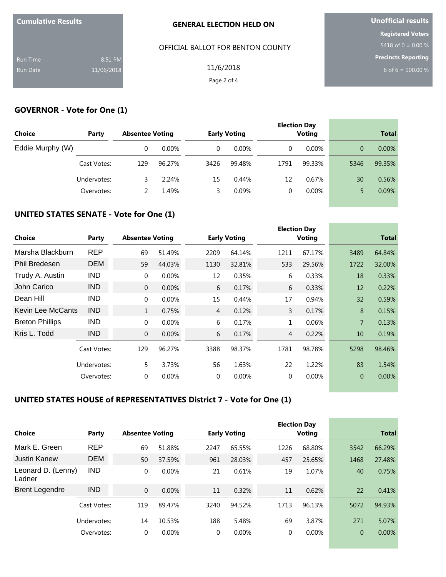| <b>Cumulative Results</b> |            |
|---------------------------|------------|
| <b>Run Time</b>           | 8:51 PM    |
| <b>Run Date</b>           | 11/06/2018 |

### OFFICIAL BALLOT FOR BENTON COUNTY

**Unofficial results Registered Voters** 5418 of  $0 = 0.00 %$ **Precincts Reporting**

6 of 6 =  $100.00 %$ 

11/6/2018 Page 2 of 4

### **GOVERNOR - Vote for One (1)**

| <b>Choice</b>    | Party       | <b>Absentee Voting</b> |          |      | <b>Early Voting</b> |      | <b>Election Day</b><br><b>Voting</b> |      | <b>Total</b> |
|------------------|-------------|------------------------|----------|------|---------------------|------|--------------------------------------|------|--------------|
| Eddie Murphy (W) |             | 0                      | $0.00\%$ | 0    | $0.00\%$            | 0    | $0.00\%$                             | 0    | $0.00\%$     |
|                  | Cast Votes: | 129                    | 96.27%   | 3426 | 99.48%              | 1791 | 99.33%                               | 5346 | 99.35%       |
|                  | Undervotes: | 3                      | 2.24%    | 15   | 0.44%               | 12   | 0.67%                                | 30   | 0.56%        |
|                  | Overvotes:  |                        | 1.49%    | 3.   | 0.09%               | 0    | $0.00\%$                             |      | 0.09%        |
|                  |             |                        |          |      |                     |      |                                      |      |              |

# **UNITED STATES SENATE - Vote for One (1)**

| <b>Choice</b>            | Party       | <b>Absentee Voting</b> |        |                | <b>Early Voting</b> |      | <b>Election Day</b><br><b>Voting</b> |                | <b>Total</b> |
|--------------------------|-------------|------------------------|--------|----------------|---------------------|------|--------------------------------------|----------------|--------------|
| Marsha Blackburn         | <b>REP</b>  | 69                     | 51.49% | 2209           | 64.14%              | 1211 | 67.17%                               | 3489           | 64.84%       |
| <b>Phil Bredesen</b>     | <b>DEM</b>  | 59                     | 44.03% | 1130           | 32.81%              | 533  | 29.56%                               | 1722           | 32.00%       |
| Trudy A. Austin          | <b>IND</b>  | $\mathbf{0}$           | 0.00%  | 12             | 0.35%               | 6    | 0.33%                                | 18             | 0.33%        |
| John Carico              | <b>IND</b>  | $\overline{0}$         | 0.00%  | 6              | 0.17%               | 6    | 0.33%                                | 12             | 0.22%        |
| Dean Hill                | <b>IND</b>  | $\mathbf{0}$           | 0.00%  | 15             | 0.44%               | 17   | 0.94%                                | 32             | 0.59%        |
| <b>Kevin Lee McCants</b> | <b>IND</b>  | $\mathbf{1}$           | 0.75%  | $\overline{4}$ | 0.12%               | 3    | 0.17%                                | 8              | 0.15%        |
| <b>Breton Phillips</b>   | <b>IND</b>  | $\mathbf{0}$           | 0.00%  | 6              | 0.17%               | 1    | 0.06%                                | $\overline{7}$ | 0.13%        |
| Kris L. Todd             | <b>IND</b>  | $\overline{0}$         | 0.00%  | 6              | 0.17%               | 4    | 0.22%                                | 10             | 0.19%        |
|                          | Cast Votes: | 129                    | 96.27% | 3388           | 98.37%              | 1781 | 98.78%                               | 5298           | 98.46%       |
|                          | Undervotes: | 5                      | 3.73%  | 56             | 1.63%               | 22   | 1.22%                                | 83             | 1.54%        |
|                          | Overvotes:  | 0                      | 0.00%  | $\mathbf 0$    | $0.00\%$            | 0    | 0.00%                                | $\theta$       | $0.00\%$     |

## **UNITED STATES HOUSE of REPRESENTATIVES District 7 - Vote for One (1)**

| Choice                       | Party       | <b>Absentee Voting</b> |          |      | <b>Early Voting</b> |      | <b>Election Day</b><br><b>Voting</b> |                | <b>Total</b> |
|------------------------------|-------------|------------------------|----------|------|---------------------|------|--------------------------------------|----------------|--------------|
| Mark E. Green                | <b>REP</b>  | 69                     | 51.88%   | 2247 | 65.55%              | 1226 | 68.80%                               | 3542           | 66.29%       |
| Justin Kanew                 | <b>DEM</b>  | 50                     | 37.59%   | 961  | 28.03%              | 457  | 25.65%                               | 1468           | 27.48%       |
| Leonard D. (Lenny)<br>Ladner | <b>IND</b>  | 0                      | $0.00\%$ | 21   | 0.61%               | 19   | 1.07%                                | 40             | 0.75%        |
| <b>Brent Legendre</b>        | <b>IND</b>  | $\Omega$               | 0.00%    | 11   | 0.32%               | 11   | 0.62%                                | 22             | 0.41%        |
|                              | Cast Votes: | 119                    | 89.47%   | 3240 | 94.52%              | 1713 | 96.13%                               | 5072           | 94.93%       |
|                              | Undervotes: | 14                     | 10.53%   | 188  | 5.48%               | 69   | 3.87%                                | 271            | 5.07%        |
|                              | Overvotes:  | 0                      | 0.00%    | 0    | $0.00\%$            | 0    | 0.00%                                | $\overline{0}$ | $0.00\%$     |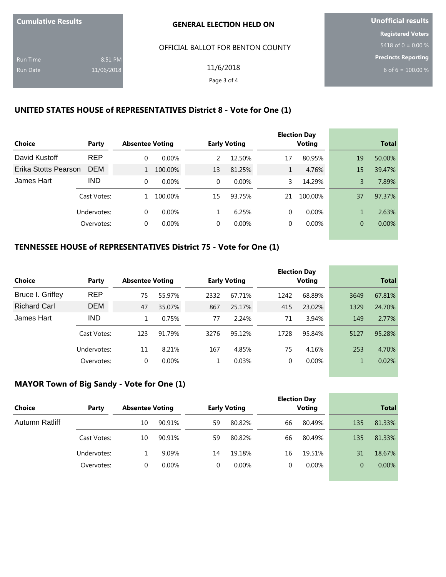| <b>Cumulative Results</b> |  |
|---------------------------|--|
|---------------------------|--|

OFFICIAL BALLOT FOR BENTON COUNTY

Run Time 8:51 PM Run Date 11/06/2018

11/6/2018 Page 3 of 4

**Unofficial results Registered Voters** 5418 of 0 =  $0.00\%$ **Precincts Reporting** 6 of 6 =  $100.00 %$ 

## **UNITED STATES HOUSE of REPRESENTATIVES District 8 - Vote for One (1)**

|                      |             |                        |          |          |                     |             | <b>Election Day</b> |                |          |
|----------------------|-------------|------------------------|----------|----------|---------------------|-------------|---------------------|----------------|----------|
| Choice               | Party       | <b>Absentee Voting</b> |          |          | <b>Early Voting</b> |             | <b>Voting</b>       | <b>Total</b>   |          |
| David Kustoff        | <b>REP</b>  | 0                      | $0.00\%$ | 2        | 12.50%              | 17          | 80.95%              | 19             | 50.00%   |
| Erika Stotts Pearson | <b>DEM</b>  |                        | 100.00%  | 13       | 81.25%              | $\mathbf 1$ | 4.76%               | 15             | 39.47%   |
| James Hart           | <b>IND</b>  | $\Omega$               | $0.00\%$ | $\Omega$ | $0.00\%$            | 3.          | 14.29%              | 3              | 7.89%    |
|                      | Cast Votes: |                        | 100.00%  | 15       | 93.75%              | 21          | 100.00%             | 37             | 97.37%   |
|                      | Undervotes: | 0                      | $0.00\%$ |          | 6.25%               | 0           | $0.00\%$            |                | 2.63%    |
|                      | Overvotes:  | 0                      | $0.00\%$ |          | $0.00\%$            | 0           | $0.00\%$            | $\overline{0}$ | $0.00\%$ |

## **TENNESSEE HOUSE of REPRESENTATIVES District 75 - Vote for One (1)**

|                     |             |          |                        |      |                     |      | <b>Election Day</b> |      |              |
|---------------------|-------------|----------|------------------------|------|---------------------|------|---------------------|------|--------------|
| <b>Choice</b>       | Party       |          | <b>Absentee Voting</b> |      | <b>Early Voting</b> |      | <b>Voting</b>       |      | <b>Total</b> |
| Bruce I. Griffey    | <b>REP</b>  | 75       | 55.97%                 | 2332 | 67.71%              | 1242 | 68.89%              | 3649 | 67.81%       |
| <b>Richard Carl</b> | <b>DEM</b>  | 47       | 35.07%                 | 867  | 25.17%              | 415  | 23.02%              | 1329 | 24.70%       |
| James Hart          | <b>IND</b>  |          | 0.75%                  | 77   | 2.24%               | 71   | 3.94%               | 149  | 2.77%        |
|                     | Cast Votes: | 123      | 91.79%                 | 3276 | 95.12%              | 1728 | 95.84%              | 5127 | 95.28%       |
|                     | Undervotes: | 11       | 8.21%                  | 167  | 4.85%               | 75   | 4.16%               | 253  | 4.70%        |
|                     | Overvotes:  | $\Omega$ | $0.00\%$               |      | 0.03%               | 0    | $0.00\%$            |      | 0.02%        |

# **MAYOR Town of Big Sandy - Vote for One (1)**

|                 |             |                        |          |    |                     |    | <b>Election Day</b> |              |          |
|-----------------|-------------|------------------------|----------|----|---------------------|----|---------------------|--------------|----------|
| Choice<br>Party |             | <b>Absentee Voting</b> |          |    | <b>Early Voting</b> |    | <b>Voting</b>       | <b>Total</b> |          |
| Autumn Ratliff  |             | 10                     | 90.91%   | 59 | 80.82%              | 66 | 80.49%              | 135          | 81.33%   |
|                 | Cast Votes: | 10                     | 90.91%   | 59 | 80.82%              | 66 | 80.49%              | 135          | 81.33%   |
|                 | Undervotes: |                        | 9.09%    | 14 | 19.18%              | 16 | 19.51%              | 31           | 18.67%   |
|                 | Overvotes:  | 0                      | $0.00\%$ | 0  | $0.00\%$            | 0  | $0.00\%$            | 0            | $0.00\%$ |